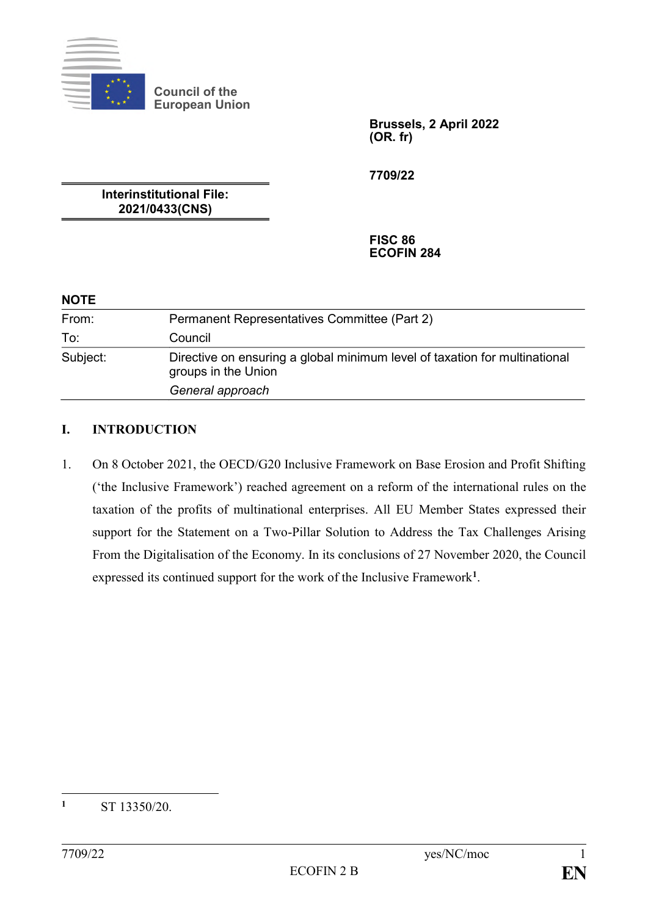

**Council of the European Union**

> **Brussels, 2 April 2022 (OR. fr)**

**7709/22**

**Interinstitutional File: 2021/0433(CNS)**

> **FISC 86 ECOFIN 284**

#### **NOTE**

| From:    | Permanent Representatives Committee (Part 2)                                                                          |
|----------|-----------------------------------------------------------------------------------------------------------------------|
| To:      | Council                                                                                                               |
| Subject: | Directive on ensuring a global minimum level of taxation for multinational<br>groups in the Union<br>General approach |

#### **I. INTRODUCTION**

1. On 8 October 2021, the OECD/G20 Inclusive Framework on Base Erosion and Profit Shifting ('the Inclusive Framework') reached agreement on a reform of the international rules on the taxation of the profits of multinational enterprises. All EU Member States expressed their support for the Statement on a Two-Pillar Solution to Address the Tax Challenges Arising From the Digitalisation of the Economy. In its conclusions of 27 November 2020, the Council expressed its continued support for the work of the Inclusive Framework**<sup>1</sup>** .

 $\mathbf{1}$ **<sup>1</sup>** ST 13350/20.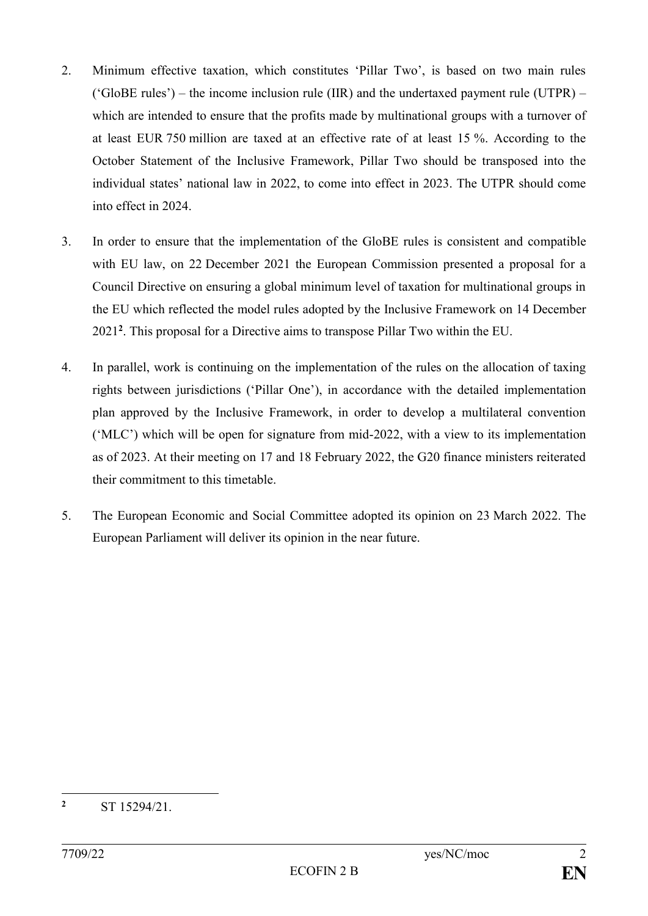- 2. Minimum effective taxation, which constitutes 'Pillar Two', is based on two main rules ( $'GlobalE$  rules') – the income inclusion rule (IIR) and the undertaxed payment rule (UTPR) – which are intended to ensure that the profits made by multinational groups with a turnover of at least EUR 750 million are taxed at an effective rate of at least 15 %. According to the October Statement of the Inclusive Framework, Pillar Two should be transposed into the individual states' national law in 2022, to come into effect in 2023. The UTPR should come into effect in 2024.
- 3. In order to ensure that the implementation of the GloBE rules is consistent and compatible with EU law, on 22 December 2021 the European Commission presented a proposal for a Council Directive on ensuring a global minimum level of taxation for multinational groups in the EU which reflected the model rules adopted by the Inclusive Framework on 14 December 2021**<sup>2</sup>** . This proposal for a Directive aims to transpose Pillar Two within the EU.
- 4. In parallel, work is continuing on the implementation of the rules on the allocation of taxing rights between jurisdictions ('Pillar One'), in accordance with the detailed implementation plan approved by the Inclusive Framework, in order to develop a multilateral convention ('MLC') which will be open for signature from mid-2022, with a view to its implementation as of 2023. At their meeting on 17 and 18 February 2022, the G20 finance ministers reiterated their commitment to this timetable.
- 5. The European Economic and Social Committee adopted its opinion on 23 March 2022. The European Parliament will deliver its opinion in the near future.

 $\overline{2}$ **<sup>2</sup>** ST 15294/21.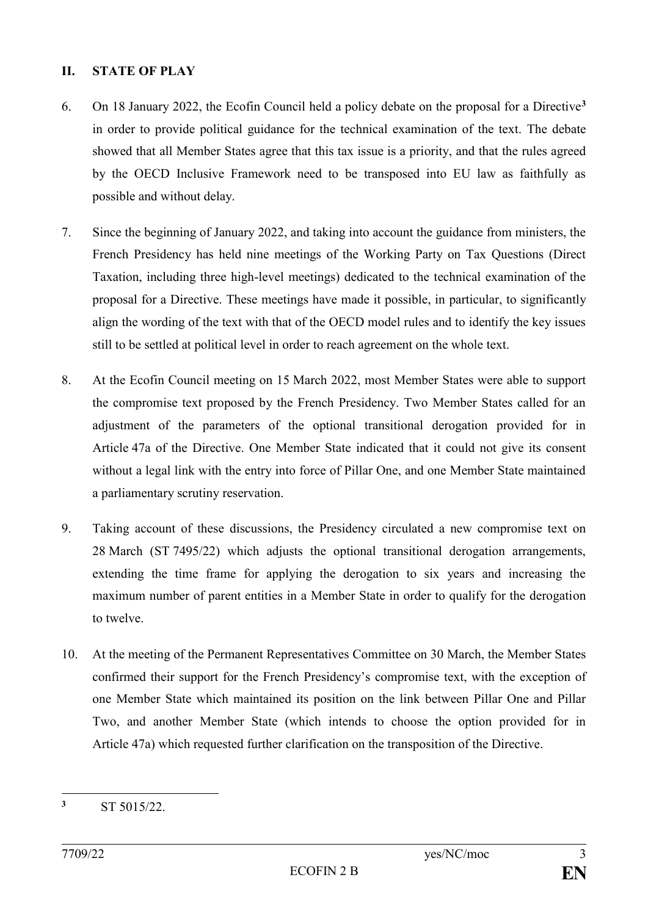### **II. STATE OF PLAY**

- 6. On 18 January 2022, the Ecofin Council held a policy debate on the proposal for a Directive**<sup>3</sup>** in order to provide political guidance for the technical examination of the text. The debate showed that all Member States agree that this tax issue is a priority, and that the rules agreed by the OECD Inclusive Framework need to be transposed into EU law as faithfully as possible and without delay.
- 7. Since the beginning of January 2022, and taking into account the guidance from ministers, the French Presidency has held nine meetings of the Working Party on Tax Questions (Direct Taxation, including three high-level meetings) dedicated to the technical examination of the proposal for a Directive. These meetings have made it possible, in particular, to significantly align the wording of the text with that of the OECD model rules and to identify the key issues still to be settled at political level in order to reach agreement on the whole text.
- 8. At the Ecofin Council meeting on 15 March 2022, most Member States were able to support the compromise text proposed by the French Presidency. Two Member States called for an adjustment of the parameters of the optional transitional derogation provided for in Article 47a of the Directive. One Member State indicated that it could not give its consent without a legal link with the entry into force of Pillar One, and one Member State maintained a parliamentary scrutiny reservation.
- 9. Taking account of these discussions, the Presidency circulated a new compromise text on 28 March (ST 7495/22) which adjusts the optional transitional derogation arrangements, extending the time frame for applying the derogation to six years and increasing the maximum number of parent entities in a Member State in order to qualify for the derogation to twelve.
- 10. At the meeting of the Permanent Representatives Committee on 30 March, the Member States confirmed their support for the French Presidency's compromise text, with the exception of one Member State which maintained its position on the link between Pillar One and Pillar Two, and another Member State (which intends to choose the option provided for in Article 47a) which requested further clarification on the transposition of the Directive.

 $\overline{\mathbf{3}}$ **<sup>3</sup>** ST 5015/22.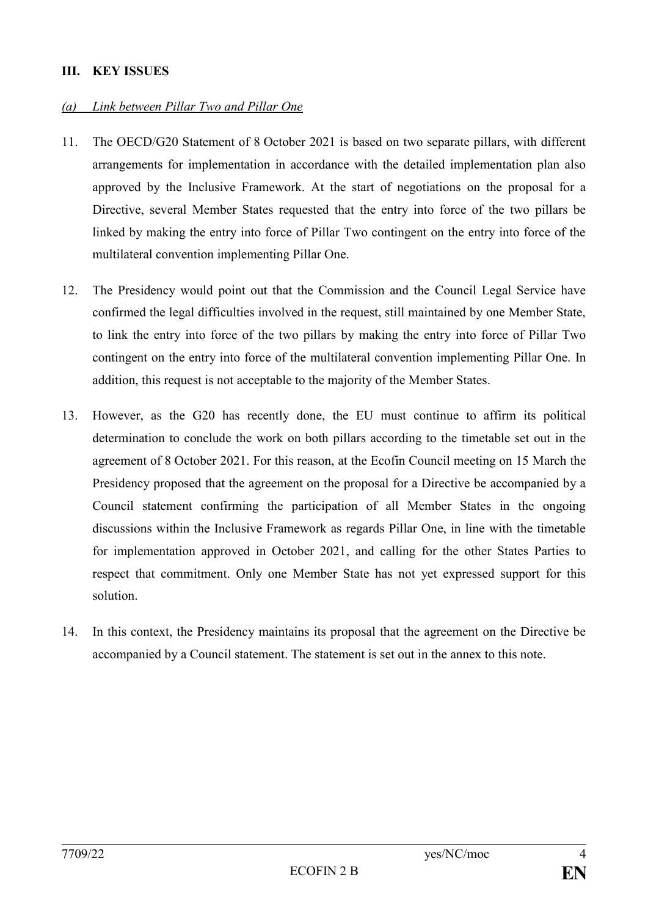### **III. KEY ISSUES**

#### *(a) Link between Pillar Two and Pillar One*

- 11. The OECD/G20 Statement of 8 October 2021 is based on two separate pillars, with different arrangements for implementation in accordance with the detailed implementation plan also approved by the Inclusive Framework. At the start of negotiations on the proposal for a Directive, several Member States requested that the entry into force of the two pillars be linked by making the entry into force of Pillar Two contingent on the entry into force of the multilateral convention implementing Pillar One.
- 12. The Presidency would point out that the Commission and the Council Legal Service have confirmed the legal difficulties involved in the request, still maintained by one Member State, to link the entry into force of the two pillars by making the entry into force of Pillar Two contingent on the entry into force of the multilateral convention implementing Pillar One. In addition, this request is not acceptable to the majority of the Member States.
- 13. However, as the G20 has recently done, the EU must continue to affirm its political determination to conclude the work on both pillars according to the timetable set out in the agreement of 8 October 2021. For this reason, at the Ecofin Council meeting on 15 March the Presidency proposed that the agreement on the proposal for a Directive be accompanied by a Council statement confirming the participation of all Member States in the ongoing discussions within the Inclusive Framework as regards Pillar One, in line with the timetable for implementation approved in October 2021, and calling for the other States Parties to respect that commitment. Only one Member State has not yet expressed support for this solution.
- 14. In this context, the Presidency maintains its proposal that the agreement on the Directive be accompanied by a Council statement. The statement is set out in the annex to this note.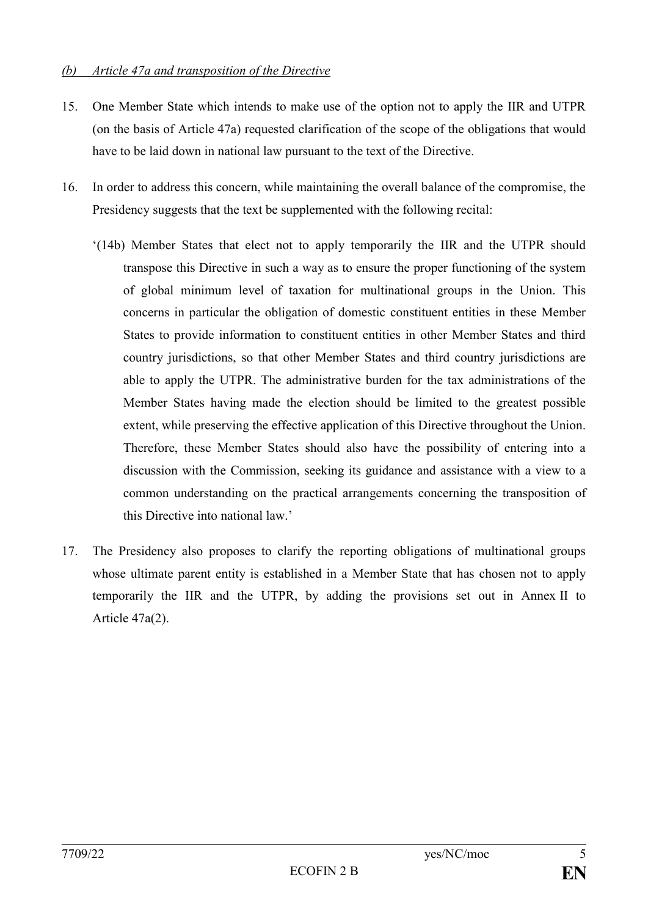#### *(b) Article 47a and transposition of the Directive*

- 15. One Member State which intends to make use of the option not to apply the IIR and UTPR (on the basis of Article 47a) requested clarification of the scope of the obligations that would have to be laid down in national law pursuant to the text of the Directive.
- 16. In order to address this concern, while maintaining the overall balance of the compromise, the Presidency suggests that the text be supplemented with the following recital:
	- '(14b) Member States that elect not to apply temporarily the IIR and the UTPR should transpose this Directive in such a way as to ensure the proper functioning of the system of global minimum level of taxation for multinational groups in the Union. This concerns in particular the obligation of domestic constituent entities in these Member States to provide information to constituent entities in other Member States and third country jurisdictions, so that other Member States and third country jurisdictions are able to apply the UTPR. The administrative burden for the tax administrations of the Member States having made the election should be limited to the greatest possible extent, while preserving the effective application of this Directive throughout the Union. Therefore, these Member States should also have the possibility of entering into a discussion with the Commission, seeking its guidance and assistance with a view to a common understanding on the practical arrangements concerning the transposition of this Directive into national law.'
- 17. The Presidency also proposes to clarify the reporting obligations of multinational groups whose ultimate parent entity is established in a Member State that has chosen not to apply temporarily the IIR and the UTPR, by adding the provisions set out in Annex II to Article 47a(2).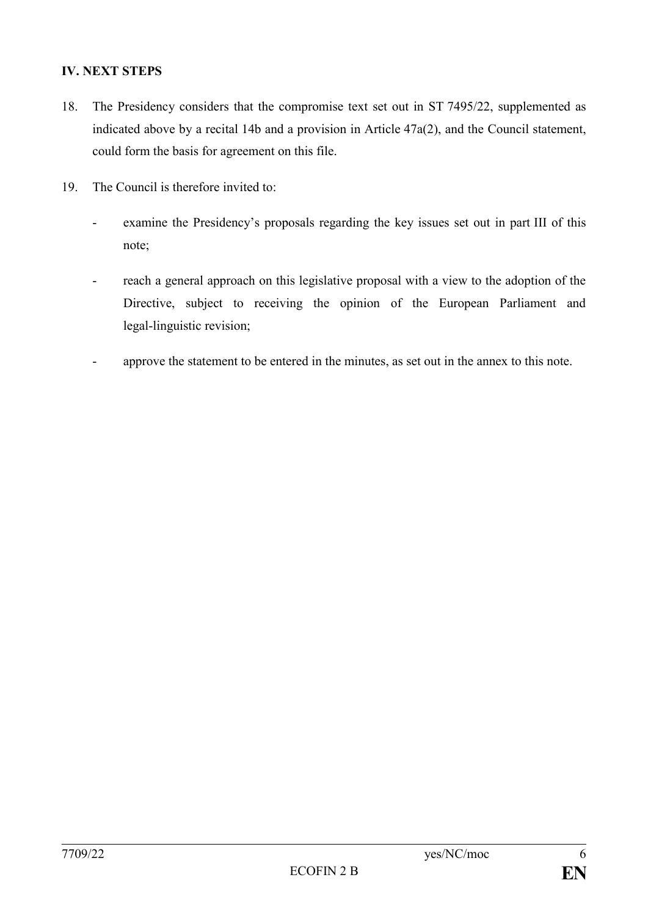## **IV. NEXT STEPS**

- 18. The Presidency considers that the compromise text set out in ST 7495/22, supplemented as indicated above by a recital 14b and a provision in Article 47a(2), and the Council statement, could form the basis for agreement on this file.
- 19. The Council is therefore invited to:
	- examine the Presidency's proposals regarding the key issues set out in part III of this note;
	- reach a general approach on this legislative proposal with a view to the adoption of the Directive, subject to receiving the opinion of the European Parliament and legal-linguistic revision;
	- approve the statement to be entered in the minutes, as set out in the annex to this note.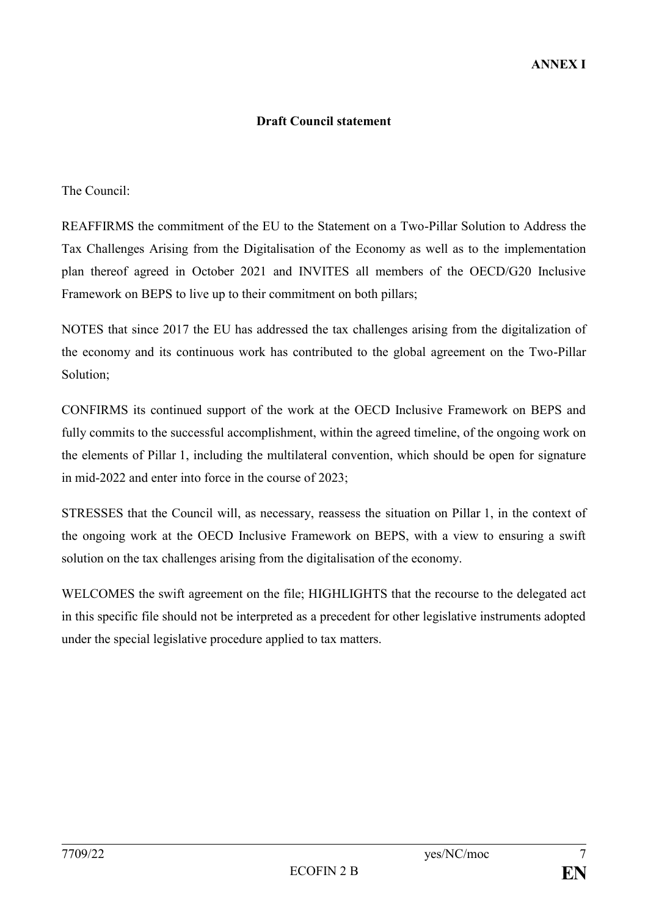#### **Draft Council statement**

The Council:

REAFFIRMS the commitment of the EU to the Statement on a Two-Pillar Solution to Address the Tax Challenges Arising from the Digitalisation of the Economy as well as to the implementation plan thereof agreed in October 2021 and INVITES all members of the OECD/G20 Inclusive Framework on BEPS to live up to their commitment on both pillars;

NOTES that since 2017 the EU has addressed the tax challenges arising from the digitalization of the economy and its continuous work has contributed to the global agreement on the Two-Pillar Solution;

CONFIRMS its continued support of the work at the OECD Inclusive Framework on BEPS and fully commits to the successful accomplishment, within the agreed timeline, of the ongoing work on the elements of Pillar 1, including the multilateral convention, which should be open for signature in mid-2022 and enter into force in the course of 2023;

STRESSES that the Council will, as necessary, reassess the situation on Pillar 1, in the context of the ongoing work at the OECD Inclusive Framework on BEPS, with a view to ensuring a swift solution on the tax challenges arising from the digitalisation of the economy.

WELCOMES the swift agreement on the file; HIGHLIGHTS that the recourse to the delegated act in this specific file should not be interpreted as a precedent for other legislative instruments adopted under the special legislative procedure applied to tax matters.